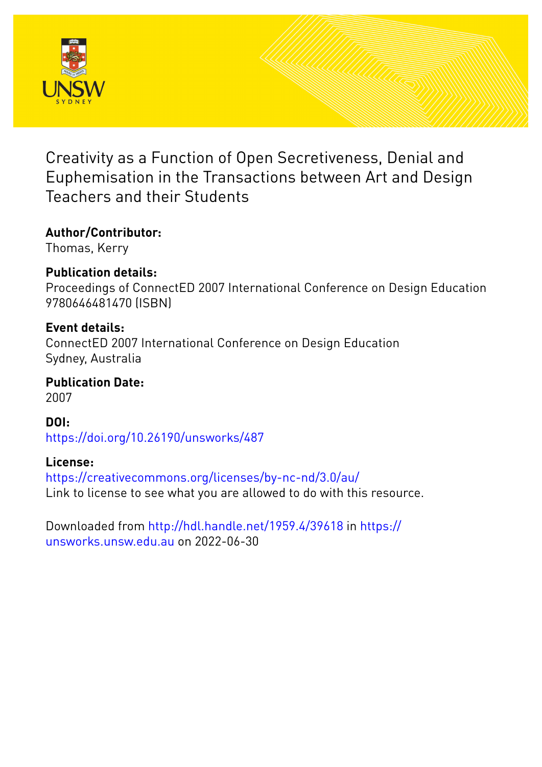

Creativity as a Function of Open Secretiveness, Denial and Euphemisation in the Transactions between Art and Design Teachers and their Students

# **Author/Contributor:**

Thomas, Kerry

# **Publication details:**

Proceedings of ConnectED 2007 International Conference on Design Education 9780646481470 (ISBN)

# **Event details:**

ConnectED 2007 International Conference on Design Education Sydney, Australia

**Publication Date:** 2007

**DOI:** [https://doi.org/10.26190/unsworks/487](http://dx.doi.org/https://doi.org/10.26190/unsworks/487)

# **License:**

<https://creativecommons.org/licenses/by-nc-nd/3.0/au/> Link to license to see what you are allowed to do with this resource.

Downloaded from <http://hdl.handle.net/1959.4/39618> in [https://](https://unsworks.unsw.edu.au) [unsworks.unsw.edu.au](https://unsworks.unsw.edu.au) on 2022-06-30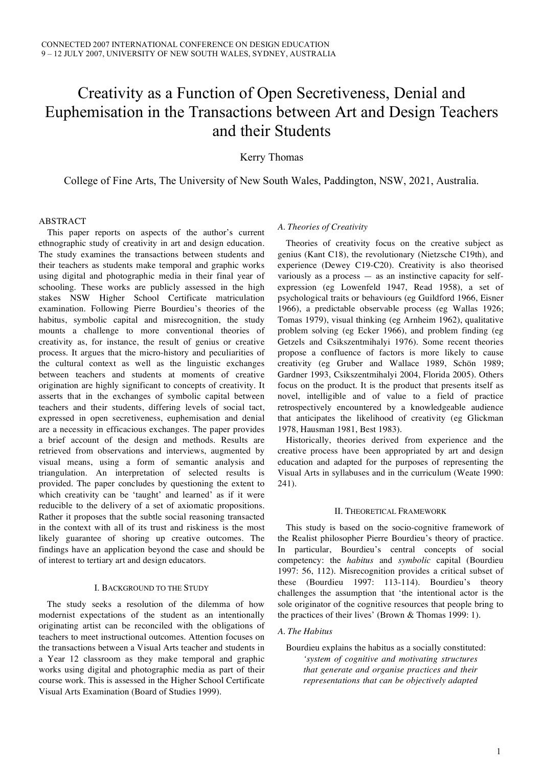# Creativity as a Function of Open Secretiveness, Denial and Euphemisation in the Transactions between Art and Design Teachers and their Students

Kerry Thomas

College of Fine Arts, The University of New South Wales, Paddington, NSW, 2021, Australia.

## ABSTRACT

This paper reports on aspects of the author's current ethnographic study of creativity in art and design education. The study examines the transactions between students and their teachers as students make temporal and graphic works using digital and photographic media in their final year of schooling. These works are publicly assessed in the high stakes NSW Higher School Certificate matriculation examination. Following Pierre Bourdieu's theories of the habitus, symbolic capital and misrecognition, the study mounts a challenge to more conventional theories of creativity as, for instance, the result of genius or creative process. It argues that the micro-history and peculiarities of the cultural context as well as the linguistic exchanges between teachers and students at moments of creative origination are highly significant to concepts of creativity. It asserts that in the exchanges of symbolic capital between teachers and their students, differing levels of social tact, expressed in open secretiveness, euphemisation and denial are a necessity in efficacious exchanges. The paper provides a brief account of the design and methods. Results are retrieved from observations and interviews, augmented by visual means, using a form of semantic analysis and triangulation. An interpretation of selected results is provided. The paper concludes by questioning the extent to which creativity can be 'taught' and learned' as if it were reducible to the delivery of a set of axiomatic propositions. Rather it proposes that the subtle social reasoning transacted in the context with all of its trust and riskiness is the most likely guarantee of shoring up creative outcomes. The findings have an application beyond the case and should be of interest to tertiary art and design educators.

## I. BACKGROUND TO THE STUDY

The study seeks a resolution of the dilemma of how modernist expectations of the student as an intentionally originating artist can be reconciled with the obligations of teachers to meet instructional outcomes. Attention focuses on the transactions between a Visual Arts teacher and students in a Year 12 classroom as they make temporal and graphic works using digital and photographic media as part of their course work. This is assessed in the Higher School Certificate Visual Arts Examination (Board of Studies 1999).

## *A. Theories of Creativity*

Theories of creativity focus on the creative subject as genius (Kant C18), the revolutionary (Nietzsche C19th), and experience (Dewey C19-C20). Creativity is also theorised variously as a process — as an instinctive capacity for selfexpression (eg Lowenfeld 1947, Read 1958), a set of psychological traits or behaviours (eg Guildford 1966, Eisner 1966), a predictable observable process (eg Wallas 1926; Tomas 1979), visual thinking (eg Arnheim 1962), qualitative problem solving (eg Ecker 1966), and problem finding (eg Getzels and Csikszentmihalyi 1976). Some recent theories propose a confluence of factors is more likely to cause creativity (eg Gruber and Wallace 1989, Schön 1989; Gardner 1993, Csikszentmihalyi 2004, Florida 2005). Others focus on the product. It is the product that presents itself as novel, intelligible and of value to a field of practice retrospectively encountered by a knowledgeable audience that anticipates the likelihood of creativity (eg Glickman 1978, Hausman 1981, Best 1983).

Historically, theories derived from experience and the creative process have been appropriated by art and design education and adapted for the purposes of representing the Visual Arts in syllabuses and in the curriculum (Weate 1990: 241).

#### II. THEORETICAL FRAMEWORK

This study is based on the socio-cognitive framework of the Realist philosopher Pierre Bourdieu's theory of practice. In particular, Bourdieu's central concepts of social competency: the *habitus* and *symbolic* capital (Bourdieu 1997: 56, 112). Misrecognition provides a critical subset of these (Bourdieu 1997: 113-114). Bourdieu's theory challenges the assumption that 'the intentional actor is the sole originator of the cognitive resources that people bring to the practices of their lives' (Brown & Thomas 1999: 1).

# *A. The Habitus*

Bourdieu explains the habitus as a socially constituted: *'system of cognitive and motivating structures that generate and organise practices and their representations that can be objectively adapted*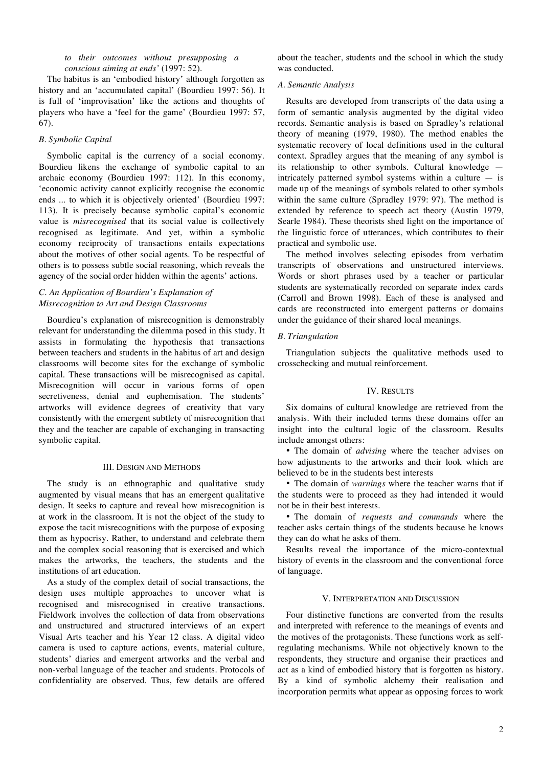*to their outcomes without presupposing a conscious aiming at ends'* (1997: 52).

The habitus is an 'embodied history' although forgotten as history and an 'accumulated capital' (Bourdieu 1997: 56). It is full of 'improvisation' like the actions and thoughts of players who have a 'feel for the game' (Bourdieu 1997: 57, 67).

### *B. Symbolic Capital*

Symbolic capital is the currency of a social economy. Bourdieu likens the exchange of symbolic capital to an archaic economy (Bourdieu 1997: 112). In this economy, 'economic activity cannot explicitly recognise the economic ends ... to which it is objectively oriented' (Bourdieu 1997: 113). It is precisely because symbolic capital's economic value is *misrecognised* that its social value is collectively recognised as legitimate. And yet, within a symbolic economy reciprocity of transactions entails expectations about the motives of other social agents. To be respectful of others is to possess subtle social reasoning, which reveals the agency of the social order hidden within the agents' actions.

# *C. An Application of Bourdieu's Explanation of Misrecognition to Art and Design Classrooms*

Bourdieu's explanation of misrecognition is demonstrably relevant for understanding the dilemma posed in this study. It assists in formulating the hypothesis that transactions between teachers and students in the habitus of art and design classrooms will become sites for the exchange of symbolic capital. These transactions will be misrecognised as capital. Misrecognition will occur in various forms of open secretiveness, denial and euphemisation. The students' artworks will evidence degrees of creativity that vary consistently with the emergent subtlety of misrecognition that they and the teacher are capable of exchanging in transacting symbolic capital.

#### III. DESIGN AND METHODS

The study is an ethnographic and qualitative study augmented by visual means that has an emergent qualitative design. It seeks to capture and reveal how misrecognition is at work in the classroom. It is not the object of the study to expose the tacit misrecognitions with the purpose of exposing them as hypocrisy. Rather, to understand and celebrate them and the complex social reasoning that is exercised and which makes the artworks, the teachers, the students and the institutions of art education.

As a study of the complex detail of social transactions, the design uses multiple approaches to uncover what is recognised and misrecognised in creative transactions. Fieldwork involves the collection of data from observations and unstructured and structured interviews of an expert Visual Arts teacher and his Year 12 class. A digital video camera is used to capture actions, events, material culture, students' diaries and emergent artworks and the verbal and non-verbal language of the teacher and students. Protocols of confidentiality are observed. Thus, few details are offered about the teacher, students and the school in which the study was conducted.

#### *A. Semantic Analysis*

Results are developed from transcripts of the data using a form of semantic analysis augmented by the digital video records. Semantic analysis is based on Spradley's relational theory of meaning (1979, 1980). The method enables the systematic recovery of local definitions used in the cultural context. Spradley argues that the meaning of any symbol is its relationship to other symbols. Cultural knowledge intricately patterned symbol systems within a culture — is made up of the meanings of symbols related to other symbols within the same culture (Spradley 1979: 97). The method is extended by reference to speech act theory (Austin 1979, Searle 1984). These theorists shed light on the importance of the linguistic force of utterances, which contributes to their practical and symbolic use.

The method involves selecting episodes from verbatim transcripts of observations and unstructured interviews. Words or short phrases used by a teacher or particular students are systematically recorded on separate index cards (Carroll and Brown 1998). Each of these is analysed and cards are reconstructed into emergent patterns or domains under the guidance of their shared local meanings.

## *B. Triangulation*

Triangulation subjects the qualitative methods used to crosschecking and mutual reinforcement.

#### IV. RESULTS

Six domains of cultural knowledge are retrieved from the analysis. With their included terms these domains offer an insight into the cultural logic of the classroom. Results include amongst others:

• The domain of *advising* where the teacher advises on how adjustments to the artworks and their look which are believed to be in the students best interests

• The domain of *warnings* where the teacher warns that if the students were to proceed as they had intended it would not be in their best interests.

• The domain of *requests and commands* where the teacher asks certain things of the students because he knows they can do what he asks of them.

Results reveal the importance of the micro-contextual history of events in the classroom and the conventional force of language.

#### V. INTERPRETATION AND DISCUSSION

Four distinctive functions are converted from the results and interpreted with reference to the meanings of events and the motives of the protagonists. These functions work as selfregulating mechanisms. While not objectively known to the respondents, they structure and organise their practices and act as a kind of embodied history that is forgotten as history. By a kind of symbolic alchemy their realisation and incorporation permits what appear as opposing forces to work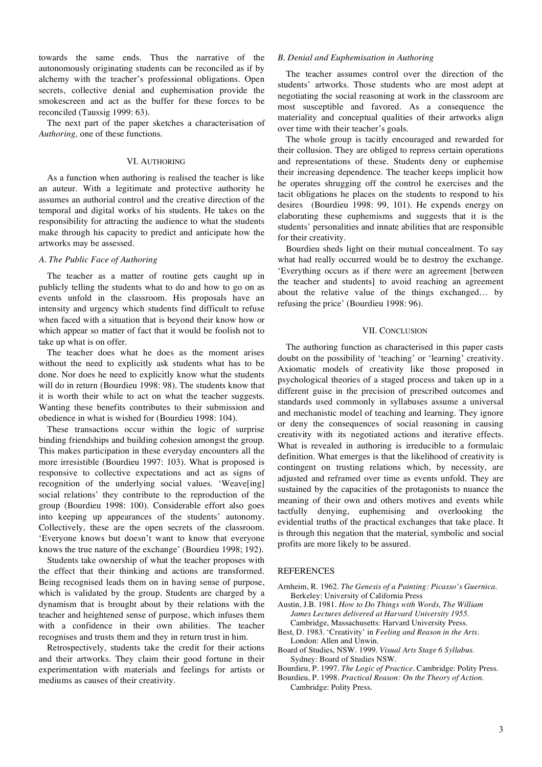towards the same ends. Thus the narrative of the autonomously originating students can be reconciled as if by alchemy with the teacher's professional obligations. Open secrets, collective denial and euphemisation provide the smokescreen and act as the buffer for these forces to be reconciled (Taussig 1999: 63).

The next part of the paper sketches a characterisation of *Authoring,* one of these functions.

#### VI. AUTHORING

As a function when authoring is realised the teacher is like an auteur. With a legitimate and protective authority he assumes an authorial control and the creative direction of the temporal and digital works of his students. He takes on the responsibility for attracting the audience to what the students make through his capacity to predict and anticipate how the artworks may be assessed.

#### *A. The Public Face of Authoring*

The teacher as a matter of routine gets caught up in publicly telling the students what to do and how to go on as events unfold in the classroom. His proposals have an intensity and urgency which students find difficult to refuse when faced with a situation that is beyond their know how or which appear so matter of fact that it would be foolish not to take up what is on offer.

The teacher does what he does as the moment arises without the need to explicitly ask students what has to be done. Nor does he need to explicitly know what the students will do in return (Bourdieu 1998: 98). The students know that it is worth their while to act on what the teacher suggests. Wanting these benefits contributes to their submission and obedience in what is wished for (Bourdieu 1998: 104).

These transactions occur within the logic of surprise binding friendships and building cohesion amongst the group. This makes participation in these everyday encounters all the more irresistible (Bourdieu 1997: 103). What is proposed is responsive to collective expectations and act as signs of recognition of the underlying social values. 'Weave[ing] social relations' they contribute to the reproduction of the group (Bourdieu 1998: 100). Considerable effort also goes into keeping up appearances of the students' autonomy. Collectively, these are the open secrets of the classroom. 'Everyone knows but doesn't want to know that everyone knows the true nature of the exchange' (Bourdieu 1998; 192).

Students take ownership of what the teacher proposes with the effect that their thinking and actions are transformed. Being recognised leads them on in having sense of purpose, which is validated by the group. Students are charged by a dynamism that is brought about by their relations with the teacher and heightened sense of purpose, which infuses them with a confidence in their own abilities. The teacher recognises and trusts them and they in return trust in him.

Retrospectively, students take the credit for their actions and their artworks. They claim their good fortune in their experimentation with materials and feelings for artists or mediums as causes of their creativity.

#### *B. Denial and Euphemisation in Authoring*

The teacher assumes control over the direction of the students' artworks. Those students who are most adept at negotiating the social reasoning at work in the classroom are most susceptible and favored. As a consequence the materiality and conceptual qualities of their artworks align over time with their teacher's goals.

The whole group is tacitly encouraged and rewarded for their collusion. They are obliged to repress certain operations and representations of these. Students deny or euphemise their increasing dependence. The teacher keeps implicit how he operates shrugging off the control he exercises and the tacit obligations he places on the students to respond to his desires (Bourdieu 1998: 99, 101). He expends energy on elaborating these euphemisms and suggests that it is the students' personalities and innate abilities that are responsible for their creativity.

Bourdieu sheds light on their mutual concealment. To say what had really occurred would be to destroy the exchange. 'Everything occurs as if there were an agreement [between the teacher and students] to avoid reaching an agreement about the relative value of the things exchanged… by refusing the price' (Bourdieu 1998: 96).

#### VII. CONCLUSION

The authoring function as characterised in this paper casts doubt on the possibility of 'teaching' or 'learning' creativity. Axiomatic models of creativity like those proposed in psychological theories of a staged process and taken up in a different guise in the precision of prescribed outcomes and standards used commonly in syllabuses assume a universal and mechanistic model of teaching and learning. They ignore or deny the consequences of social reasoning in causing creativity with its negotiated actions and iterative effects. What is revealed in authoring is irreducible to a formulaic definition. What emerges is that the likelihood of creativity is contingent on trusting relations which, by necessity, are adjusted and reframed over time as events unfold. They are sustained by the capacities of the protagonists to nuance the meaning of their own and others motives and events while tactfully denying, euphemising and overlooking the evidential truths of the practical exchanges that take place. It is through this negation that the material, symbolic and social profits are more likely to be assured.

#### REFERENCES

Arnheim, R. 1962. *The Genesis of a Painting: Picasso's Guernica*. Berkeley: University of California Press

Austin, J.B. 1981. *How to Do Things with Words, The William James Lectures delivered at Harvard University 1955*. Cambridge, Massachusetts: Harvard University Press.

- Best, D. 1983. 'Creativity' in *Feeling and Reason in the Arts*. London: Allen and Unwin.
- Board of Studies, NSW. 1999. *Visual Arts Stage 6 Syllabus.* Sydney: Board of Studies NSW.

Bourdieu, P. 1997. *The Logic of Practice.* Cambridge: Polity Press.

Bourdieu, P. 1998. *Practical Reason: On the Theory of Action.* Cambridge: Polity Press.